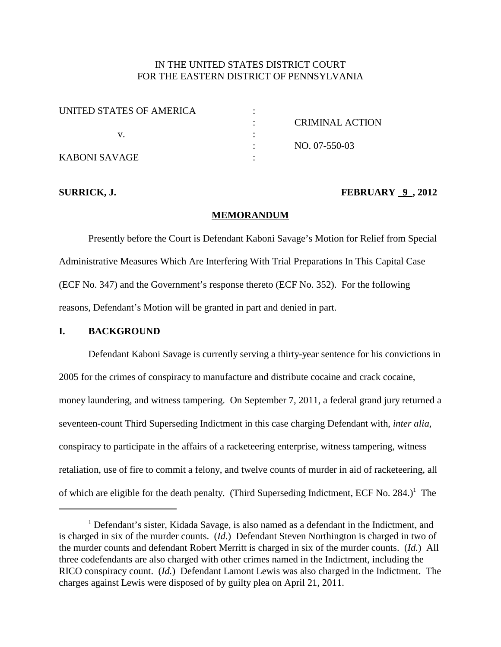# IN THE UNITED STATES DISTRICT COURT FOR THE EASTERN DISTRICT OF PENNSYLVANIA

| UNITED STATES OF AMERICA |                 |
|--------------------------|-----------------|
|                          | CRIMINAL ACTION |
|                          |                 |
|                          | NO. 07-550-03   |
| KABONI SAVAGE            |                 |

## **SURRICK, J. FEBRUARY 9 , 2012**

### **MEMORANDUM**

Presently before the Court is Defendant Kaboni Savage's Motion for Relief from Special Administrative Measures Which Are Interfering With Trial Preparations In This Capital Case (ECF No. 347) and the Government's response thereto (ECF No. 352). For the following reasons, Defendant's Motion will be granted in part and denied in part.

## **I. BACKGROUND**

Defendant Kaboni Savage is currently serving a thirty-year sentence for his convictions in 2005 for the crimes of conspiracy to manufacture and distribute cocaine and crack cocaine, money laundering, and witness tampering. On September 7, 2011, a federal grand jury returned a seventeen-count Third Superseding Indictment in this case charging Defendant with, *inter alia*, conspiracy to participate in the affairs of a racketeering enterprise, witness tampering, witness retaliation, use of fire to commit a felony, and twelve counts of murder in aid of racketeering, all of which are eligible for the death penalty. (Third Superseding Indictment, ECF No. 284.)<sup>1</sup> The

<sup>&</sup>lt;sup>1</sup> Defendant's sister, Kidada Savage, is also named as a defendant in the Indictment, and is charged in six of the murder counts. (*Id.*) Defendant Steven Northington is charged in two of the murder counts and defendant Robert Merritt is charged in six of the murder counts. (*Id.*) All three codefendants are also charged with other crimes named in the Indictment, including the RICO conspiracy count. (*Id.*) Defendant Lamont Lewis was also charged in the Indictment. The charges against Lewis were disposed of by guilty plea on April 21, 2011.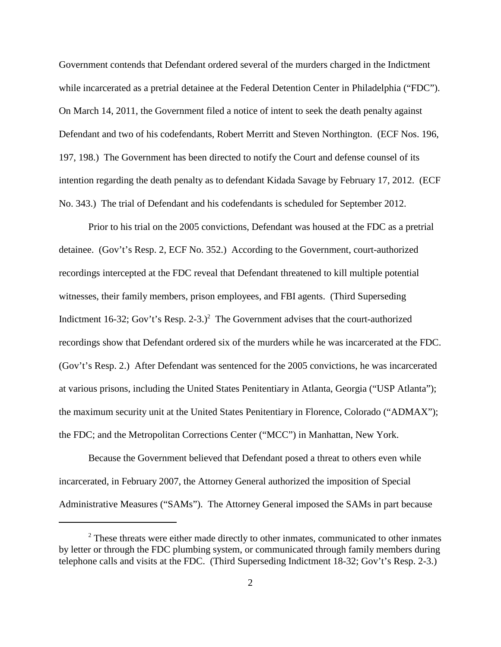Government contends that Defendant ordered several of the murders charged in the Indictment while incarcerated as a pretrial detainee at the Federal Detention Center in Philadelphia ("FDC"). On March 14, 2011, the Government filed a notice of intent to seek the death penalty against Defendant and two of his codefendants, Robert Merritt and Steven Northington. (ECF Nos. 196, 197, 198.) The Government has been directed to notify the Court and defense counsel of its intention regarding the death penalty as to defendant Kidada Savage by February 17, 2012. (ECF No. 343.) The trial of Defendant and his codefendants is scheduled for September 2012.

Prior to his trial on the 2005 convictions, Defendant was housed at the FDC as a pretrial detainee. (Gov't's Resp. 2, ECF No. 352.) According to the Government, court-authorized recordings intercepted at the FDC reveal that Defendant threatened to kill multiple potential witnesses, their family members, prison employees, and FBI agents. (Third Superseding Indictment 16-32; Gov't's Resp. 2-3.)<sup>2</sup> The Government advises that the court-authorized recordings show that Defendant ordered six of the murders while he was incarcerated at the FDC. (Gov't's Resp. 2.) After Defendant was sentenced for the 2005 convictions, he was incarcerated at various prisons, including the United States Penitentiary in Atlanta, Georgia ("USP Atlanta"); the maximum security unit at the United States Penitentiary in Florence, Colorado ("ADMAX"); the FDC; and the Metropolitan Corrections Center ("MCC") in Manhattan, New York.

Because the Government believed that Defendant posed a threat to others even while incarcerated, in February 2007, the Attorney General authorized the imposition of Special Administrative Measures ("SAMs"). The Attorney General imposed the SAMs in part because

<sup>&</sup>lt;sup>2</sup> These threats were either made directly to other inmates, communicated to other inmates by letter or through the FDC plumbing system, or communicated through family members during telephone calls and visits at the FDC. (Third Superseding Indictment 18-32; Gov't's Resp. 2-3.)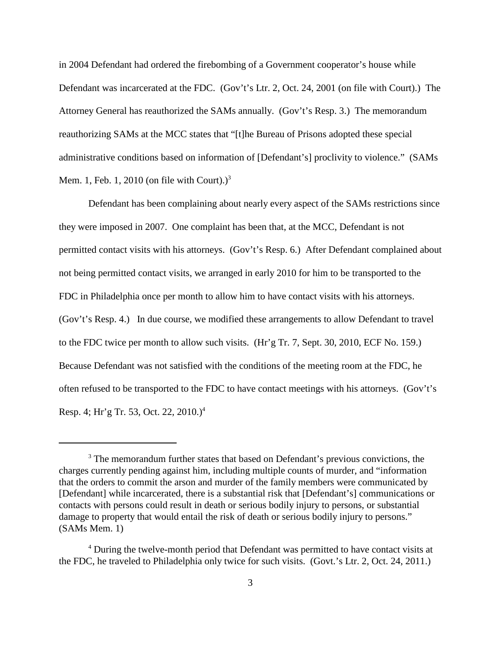in 2004 Defendant had ordered the firebombing of a Government cooperator's house while Defendant was incarcerated at the FDC. (Gov't's Ltr. 2, Oct. 24, 2001 (on file with Court).) The Attorney General has reauthorized the SAMs annually. (Gov't's Resp. 3.) The memorandum reauthorizing SAMs at the MCC states that "[t]he Bureau of Prisons adopted these special administrative conditions based on information of [Defendant's] proclivity to violence." (SAMs Mem. 1, Feb. 1, 2010 (on file with Court). $)^3$ 

Defendant has been complaining about nearly every aspect of the SAMs restrictions since they were imposed in 2007. One complaint has been that, at the MCC, Defendant is not permitted contact visits with his attorneys. (Gov't's Resp. 6.) After Defendant complained about not being permitted contact visits, we arranged in early 2010 for him to be transported to the FDC in Philadelphia once per month to allow him to have contact visits with his attorneys. (Gov't's Resp. 4.) In due course, we modified these arrangements to allow Defendant to travel to the FDC twice per month to allow such visits. (Hr'g Tr. 7, Sept. 30, 2010, ECF No. 159.) Because Defendant was not satisfied with the conditions of the meeting room at the FDC, he often refused to be transported to the FDC to have contact meetings with his attorneys. (Gov't's Resp. 4; Hr'g Tr. 53, Oct. 22, 2010.) 4

<sup>&</sup>lt;sup>3</sup> The memorandum further states that based on Defendant's previous convictions, the charges currently pending against him, including multiple counts of murder, and "information that the orders to commit the arson and murder of the family members were communicated by [Defendant] while incarcerated, there is a substantial risk that [Defendant's] communications or contacts with persons could result in death or serious bodily injury to persons, or substantial damage to property that would entail the risk of death or serious bodily injury to persons." (SAMs Mem. 1)

<sup>&</sup>lt;sup>4</sup> During the twelve-month period that Defendant was permitted to have contact visits at the FDC, he traveled to Philadelphia only twice for such visits. (Govt.'s Ltr. 2, Oct. 24, 2011.)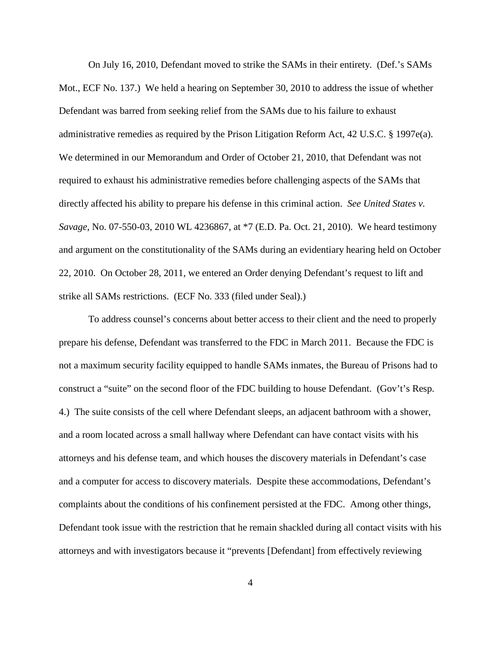On July 16, 2010, Defendant moved to strike the SAMs in their entirety. (Def.'s SAMs Mot., ECF No. 137.) We held a hearing on September 30, 2010 to address the issue of whether Defendant was barred from seeking relief from the SAMs due to his failure to exhaust administrative remedies as required by the Prison Litigation Reform Act, 42 U.S.C. § 1997e(a). We determined in our Memorandum and Order of October 21, 2010, that Defendant was not required to exhaust his administrative remedies before challenging aspects of the SAMs that directly affected his ability to prepare his defense in this criminal action. *See United States v. Savage*, No. 07-550-03, 2010 WL 4236867, at \*7 (E.D. Pa. Oct. 21, 2010). We heard testimony and argument on the constitutionality of the SAMs during an evidentiary hearing held on October 22, 2010. On October 28, 2011, we entered an Order denying Defendant's request to lift and strike all SAMs restrictions. (ECF No. 333 (filed under Seal).)

To address counsel's concerns about better access to their client and the need to properly prepare his defense, Defendant was transferred to the FDC in March 2011. Because the FDC is not a maximum security facility equipped to handle SAMs inmates, the Bureau of Prisons had to construct a "suite" on the second floor of the FDC building to house Defendant. (Gov't's Resp. 4.) The suite consists of the cell where Defendant sleeps, an adjacent bathroom with a shower, and a room located across a small hallway where Defendant can have contact visits with his attorneys and his defense team, and which houses the discovery materials in Defendant's case and a computer for access to discovery materials. Despite these accommodations, Defendant's complaints about the conditions of his confinement persisted at the FDC. Among other things, Defendant took issue with the restriction that he remain shackled during all contact visits with his attorneys and with investigators because it "prevents [Defendant] from effectively reviewing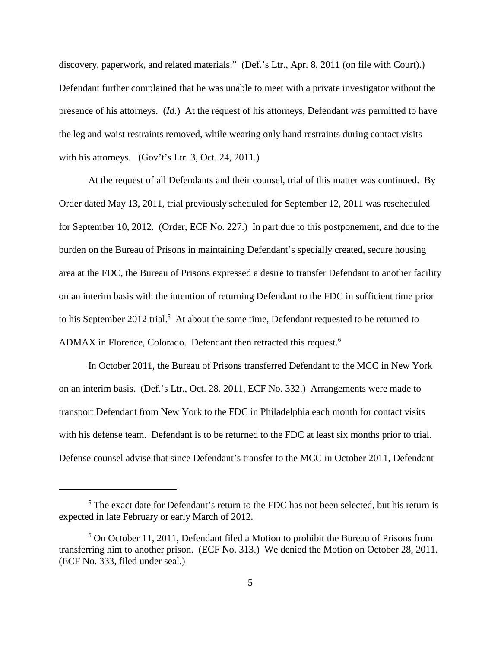discovery, paperwork, and related materials." (Def.'s Ltr., Apr. 8, 2011 (on file with Court).) Defendant further complained that he was unable to meet with a private investigator without the presence of his attorneys. (*Id.*) At the request of his attorneys, Defendant was permitted to have the leg and waist restraints removed, while wearing only hand restraints during contact visits with his attorneys. (Gov't's Ltr. 3, Oct. 24, 2011.)

At the request of all Defendants and their counsel, trial of this matter was continued. By Order dated May 13, 2011, trial previously scheduled for September 12, 2011 was rescheduled for September 10, 2012. (Order, ECF No. 227.) In part due to this postponement, and due to the burden on the Bureau of Prisons in maintaining Defendant's specially created, secure housing area at the FDC, the Bureau of Prisons expressed a desire to transfer Defendant to another facility on an interim basis with the intention of returning Defendant to the FDC in sufficient time prior to his September 2012 trial.<sup>5</sup> At about the same time, Defendant requested to be returned to ADMAX in Florence, Colorado. Defendant then retracted this request. 6

In October 2011, the Bureau of Prisons transferred Defendant to the MCC in New York on an interim basis. (Def.'s Ltr., Oct. 28. 2011, ECF No. 332.) Arrangements were made to transport Defendant from New York to the FDC in Philadelphia each month for contact visits with his defense team. Defendant is to be returned to the FDC at least six months prior to trial. Defense counsel advise that since Defendant's transfer to the MCC in October 2011, Defendant

<sup>&</sup>lt;sup>5</sup> The exact date for Defendant's return to the FDC has not been selected, but his return is expected in late February or early March of 2012.

 $6$  On October 11, 2011, Defendant filed a Motion to prohibit the Bureau of Prisons from transferring him to another prison. (ECF No. 313.) We denied the Motion on October 28, 2011. (ECF No. 333, filed under seal.)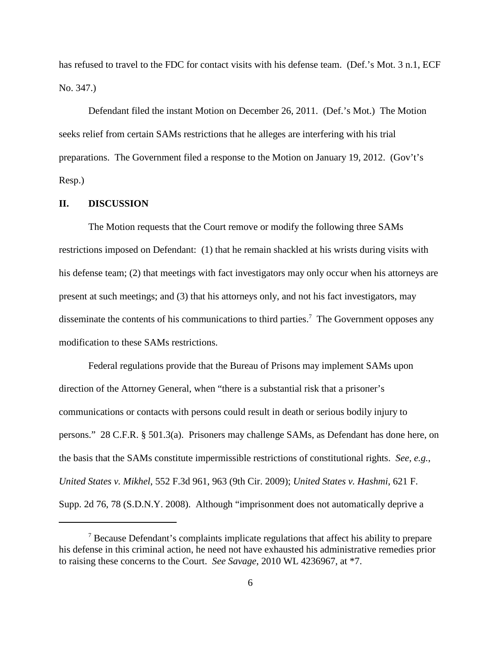has refused to travel to the FDC for contact visits with his defense team. (Def.'s Mot. 3 n.1, ECF No. 347.)

Defendant filed the instant Motion on December 26, 2011. (Def.'s Mot.) The Motion seeks relief from certain SAMs restrictions that he alleges are interfering with his trial preparations. The Government filed a response to the Motion on January 19, 2012. (Gov't's Resp.)

## **II. DISCUSSION**

The Motion requests that the Court remove or modify the following three SAMs restrictions imposed on Defendant: (1) that he remain shackled at his wrists during visits with his defense team; (2) that meetings with fact investigators may only occur when his attorneys are present at such meetings; and (3) that his attorneys only, and not his fact investigators, may disseminate the contents of his communications to third parties.<sup>7</sup> The Government opposes any modification to these SAMs restrictions.

Federal regulations provide that the Bureau of Prisons may implement SAMs upon direction of the Attorney General, when "there is a substantial risk that a prisoner's communications or contacts with persons could result in death or serious bodily injury to persons." 28 C.F.R. § 501.3(a). Prisoners may challenge SAMs, as Defendant has done here, on the basis that the SAMs constitute impermissible restrictions of constitutional rights. *See, e.g.*, *United States v. Mikhel*, 552 F.3d 961, 963 (9th Cir. 2009); *United States v. Hashmi*, 621 F. Supp. 2d 76, 78 (S.D.N.Y. 2008). Although "imprisonment does not automatically deprive a

<sup>7</sup> Because Defendant's complaints implicate regulations that affect his ability to prepare his defense in this criminal action, he need not have exhausted his administrative remedies prior to raising these concerns to the Court. *See Savage*, 2010 WL 4236967, at \*7.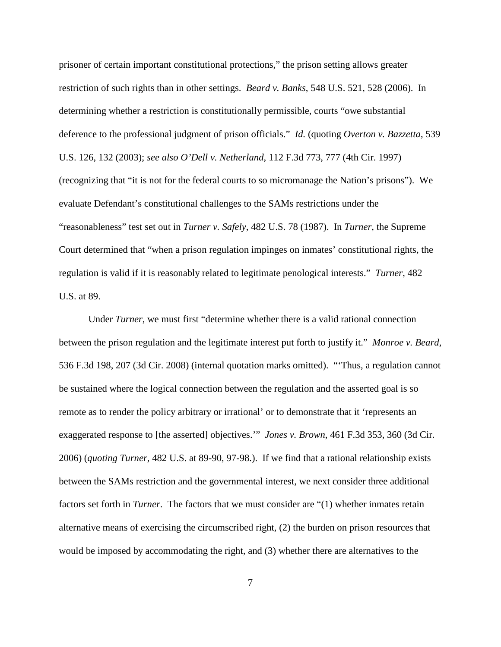prisoner of certain important constitutional protections," the prison setting allows greater restriction of such rights than in other settings. *Beard v. Banks*, 548 U.S. 521, 528 (2006). In determining whether a restriction is constitutionally permissible, courts "owe substantial deference to the professional judgment of prison officials." *Id.* (quoting *Overton v. Bazzetta*, 539 U.S. 126, 132 (2003); *see also O'Dell v. Netherland*, 112 F.3d 773, 777 (4th Cir. 1997) (recognizing that "it is not for the federal courts to so micromanage the Nation's prisons"). We evaluate Defendant's constitutional challenges to the SAMs restrictions under the "reasonableness" test set out in *Turner v. Safely*, 482 U.S. 78 (1987). In *Turner*, the Supreme Court determined that "when a prison regulation impinges on inmates' constitutional rights, the regulation is valid if it is reasonably related to legitimate penological interests." *Turner*, 482 U.S. at 89.

Under *Turner*, we must first "determine whether there is a valid rational connection between the prison regulation and the legitimate interest put forth to justify it." *Monroe v. Beard*, 536 F.3d 198, 207 (3d Cir. 2008) (internal quotation marks omitted). "'Thus, a regulation cannot be sustained where the logical connection between the regulation and the asserted goal is so remote as to render the policy arbitrary or irrational' or to demonstrate that it 'represents an exaggerated response to [the asserted] objectives.'" *Jones v. Brown*, 461 F.3d 353, 360 (3d Cir. 2006) (*quoting Turner*, 482 U.S. at 89-90, 97-98.). If we find that a rational relationship exists between the SAMs restriction and the governmental interest, we next consider three additional factors set forth in *Turner*. The factors that we must consider are "(1) whether inmates retain alternative means of exercising the circumscribed right, (2) the burden on prison resources that would be imposed by accommodating the right, and (3) whether there are alternatives to the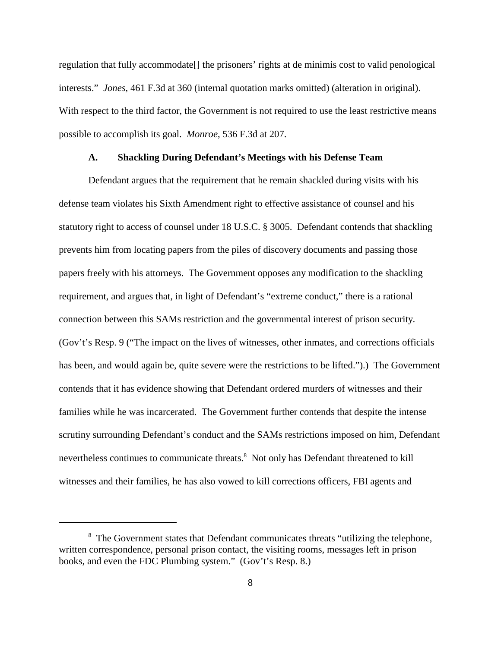regulation that fully accommodate[] the prisoners' rights at de minimis cost to valid penological interests." *Jones*, 461 F.3d at 360 (internal quotation marks omitted) (alteration in original). With respect to the third factor, the Government is not required to use the least restrictive means possible to accomplish its goal. *Monroe*, 536 F.3d at 207.

#### **A. Shackling During Defendant's Meetings with his Defense Team**

Defendant argues that the requirement that he remain shackled during visits with his defense team violates his Sixth Amendment right to effective assistance of counsel and his statutory right to access of counsel under 18 U.S.C. § 3005. Defendant contends that shackling prevents him from locating papers from the piles of discovery documents and passing those papers freely with his attorneys. The Government opposes any modification to the shackling requirement, and argues that, in light of Defendant's "extreme conduct," there is a rational connection between this SAMs restriction and the governmental interest of prison security. (Gov't's Resp. 9 ("The impact on the lives of witnesses, other inmates, and corrections officials has been, and would again be, quite severe were the restrictions to be lifted.").) The Government contends that it has evidence showing that Defendant ordered murders of witnesses and their families while he was incarcerated. The Government further contends that despite the intense scrutiny surrounding Defendant's conduct and the SAMs restrictions imposed on him, Defendant nevertheless continues to communicate threats.<sup>8</sup> Not only has Defendant threatened to kill witnesses and their families, he has also vowed to kill corrections officers, FBI agents and

<sup>&</sup>lt;sup>8</sup> The Government states that Defendant communicates threats "utilizing the telephone, written correspondence, personal prison contact, the visiting rooms, messages left in prison books, and even the FDC Plumbing system." (Gov't's Resp. 8.)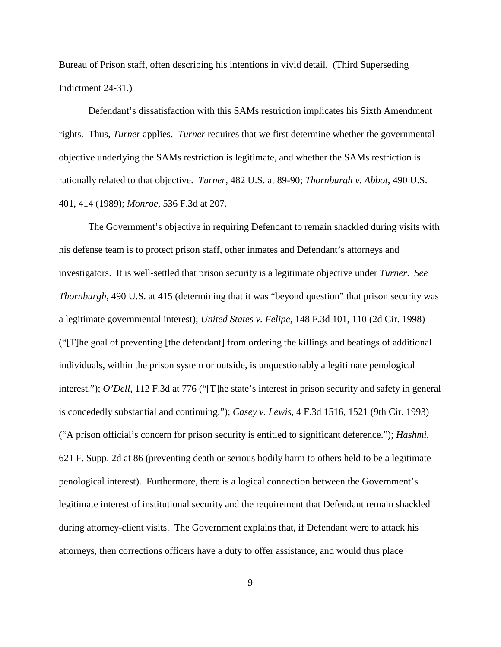Bureau of Prison staff, often describing his intentions in vivid detail. (Third Superseding Indictment 24-31.)

Defendant's dissatisfaction with this SAMs restriction implicates his Sixth Amendment rights. Thus, *Turner* applies. *Turner* requires that we first determine whether the governmental objective underlying the SAMs restriction is legitimate, and whether the SAMs restriction is rationally related to that objective. *Turner*, 482 U.S. at 89-90; *Thornburgh v. Abbot*, 490 U.S. 401, 414 (1989); *Monroe*, 536 F.3d at 207.

The Government's objective in requiring Defendant to remain shackled during visits with his defense team is to protect prison staff, other inmates and Defendant's attorneys and investigators. It is well-settled that prison security is a legitimate objective under *Turner*. *See Thornburgh*, 490 U.S. at 415 (determining that it was "beyond question" that prison security was a legitimate governmental interest); *United States v. Felipe*, 148 F.3d 101, 110 (2d Cir. 1998) ("[T]he goal of preventing [the defendant] from ordering the killings and beatings of additional individuals, within the prison system or outside, is unquestionably a legitimate penological interest."); *O'Dell*, 112 F.3d at 776 ("[T]he state's interest in prison security and safety in general is concededly substantial and continuing."); *Casey v. Lewis*, 4 F.3d 1516, 1521 (9th Cir. 1993) ("A prison official's concern for prison security is entitled to significant deference."); *Hashmi*, 621 F. Supp. 2d at 86 (preventing death or serious bodily harm to others held to be a legitimate penological interest). Furthermore, there is a logical connection between the Government's legitimate interest of institutional security and the requirement that Defendant remain shackled during attorney-client visits. The Government explains that, if Defendant were to attack his attorneys, then corrections officers have a duty to offer assistance, and would thus place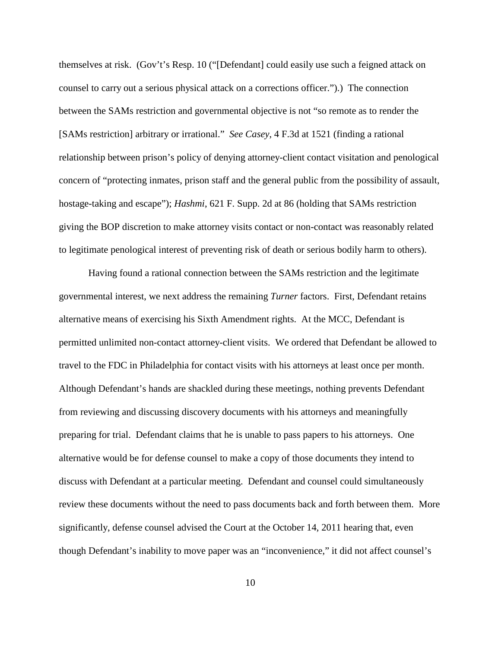themselves at risk. (Gov't's Resp. 10 ("[Defendant] could easily use such a feigned attack on counsel to carry out a serious physical attack on a corrections officer.").) The connection between the SAMs restriction and governmental objective is not "so remote as to render the [SAMs restriction] arbitrary or irrational." *See Casey*, 4 F.3d at 1521 (finding a rational relationship between prison's policy of denying attorney-client contact visitation and penological concern of "protecting inmates, prison staff and the general public from the possibility of assault, hostage-taking and escape"); *Hashmi*, 621 F. Supp. 2d at 86 (holding that SAMs restriction giving the BOP discretion to make attorney visits contact or non-contact was reasonably related to legitimate penological interest of preventing risk of death or serious bodily harm to others).

Having found a rational connection between the SAMs restriction and the legitimate governmental interest, we next address the remaining *Turner* factors. First, Defendant retains alternative means of exercising his Sixth Amendment rights. At the MCC, Defendant is permitted unlimited non-contact attorney-client visits. We ordered that Defendant be allowed to travel to the FDC in Philadelphia for contact visits with his attorneys at least once per month. Although Defendant's hands are shackled during these meetings, nothing prevents Defendant from reviewing and discussing discovery documents with his attorneys and meaningfully preparing for trial. Defendant claims that he is unable to pass papers to his attorneys. One alternative would be for defense counsel to make a copy of those documents they intend to discuss with Defendant at a particular meeting. Defendant and counsel could simultaneously review these documents without the need to pass documents back and forth between them. More significantly, defense counsel advised the Court at the October 14, 2011 hearing that, even though Defendant's inability to move paper was an "inconvenience," it did not affect counsel's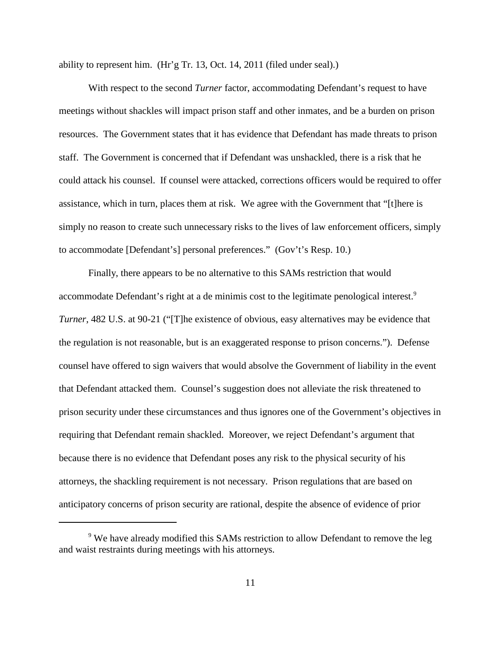ability to represent him. (Hr'g Tr. 13, Oct. 14, 2011 (filed under seal).)

With respect to the second *Turner* factor, accommodating Defendant's request to have meetings without shackles will impact prison staff and other inmates, and be a burden on prison resources. The Government states that it has evidence that Defendant has made threats to prison staff. The Government is concerned that if Defendant was unshackled, there is a risk that he could attack his counsel. If counsel were attacked, corrections officers would be required to offer assistance, which in turn, places them at risk. We agree with the Government that "[t]here is simply no reason to create such unnecessary risks to the lives of law enforcement officers, simply to accommodate [Defendant's] personal preferences." (Gov't's Resp. 10.)

Finally, there appears to be no alternative to this SAMs restriction that would accommodate Defendant's right at a de minimis cost to the legitimate penological interest.<sup>9</sup> *Turner*, 482 U.S. at 90-21 ("The existence of obvious, easy alternatives may be evidence that the regulation is not reasonable, but is an exaggerated response to prison concerns."). Defense counsel have offered to sign waivers that would absolve the Government of liability in the event that Defendant attacked them. Counsel's suggestion does not alleviate the risk threatened to prison security under these circumstances and thus ignores one of the Government's objectives in requiring that Defendant remain shackled. Moreover, we reject Defendant's argument that because there is no evidence that Defendant poses any risk to the physical security of his attorneys, the shackling requirement is not necessary. Prison regulations that are based on anticipatory concerns of prison security are rational, despite the absence of evidence of prior

<sup>&</sup>lt;sup>9</sup> We have already modified this SAMs restriction to allow Defendant to remove the leg and waist restraints during meetings with his attorneys.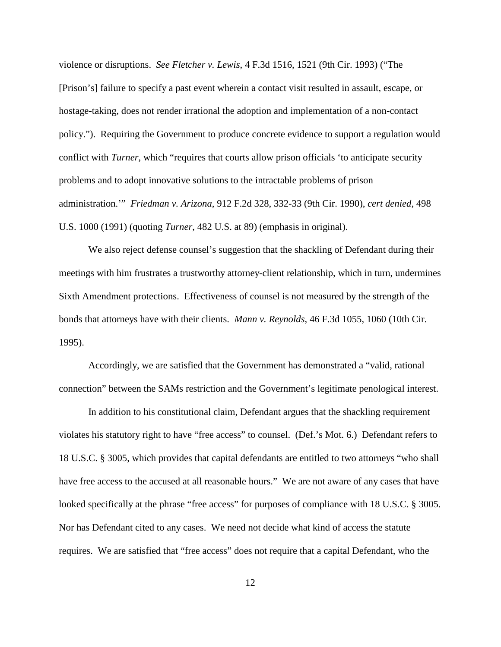violence or disruptions. *See Fletcher v. Lewis*, 4 F.3d 1516, 1521 (9th Cir. 1993) ("The [Prison's] failure to specify a past event wherein a contact visit resulted in assault, escape, or hostage-taking, does not render irrational the adoption and implementation of a non-contact policy."). Requiring the Government to produce concrete evidence to support a regulation would conflict with *Turner*, which "requires that courts allow prison officials 'to anticipate security problems and to adopt innovative solutions to the intractable problems of prison administration.'" *Friedman v. Arizona*, 912 F.2d 328, 332-33 (9th Cir. 1990), *cert denied*, 498 U.S. 1000 (1991) (quoting *Turner*, 482 U.S. at 89) (emphasis in original).

We also reject defense counsel's suggestion that the shackling of Defendant during their meetings with him frustrates a trustworthy attorney-client relationship, which in turn, undermines Sixth Amendment protections. Effectiveness of counsel is not measured by the strength of the bonds that attorneys have with their clients. *Mann v. Reynolds*, 46 F.3d 1055, 1060 (10th Cir. 1995).

Accordingly, we are satisfied that the Government has demonstrated a "valid, rational connection" between the SAMs restriction and the Government's legitimate penological interest.

In addition to his constitutional claim, Defendant argues that the shackling requirement violates his statutory right to have "free access" to counsel. (Def.'s Mot. 6.) Defendant refers to 18 U.S.C. § 3005, which provides that capital defendants are entitled to two attorneys "who shall have free access to the accused at all reasonable hours." We are not aware of any cases that have looked specifically at the phrase "free access" for purposes of compliance with 18 U.S.C. § 3005. Nor has Defendant cited to any cases. We need not decide what kind of access the statute requires. We are satisfied that "free access" does not require that a capital Defendant, who the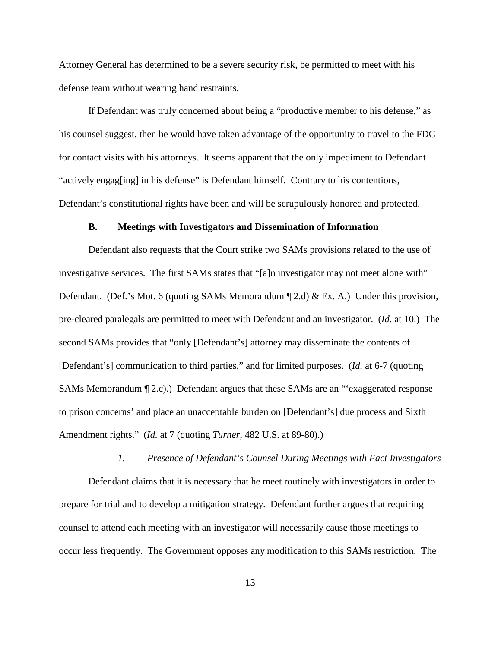Attorney General has determined to be a severe security risk, be permitted to meet with his defense team without wearing hand restraints.

If Defendant was truly concerned about being a "productive member to his defense," as his counsel suggest, then he would have taken advantage of the opportunity to travel to the FDC for contact visits with his attorneys. It seems apparent that the only impediment to Defendant "actively engag[ing] in his defense" is Defendant himself. Contrary to his contentions, Defendant's constitutional rights have been and will be scrupulously honored and protected.

### **B. Meetings with Investigators and Dissemination of Information**

Defendant also requests that the Court strike two SAMs provisions related to the use of investigative services. The first SAMs states that "[a]n investigator may not meet alone with" Defendant. (Def.'s Mot. 6 (quoting SAMs Memorandum ¶ 2.d) & Ex. A.) Under this provision, pre-cleared paralegals are permitted to meet with Defendant and an investigator. (*Id.* at 10.) The second SAMs provides that "only [Defendant's] attorney may disseminate the contents of [Defendant's] communication to third parties," and for limited purposes. (*Id.* at 6-7 (quoting SAMs Memorandum ¶ 2.c).) Defendant argues that these SAMs are an "'exaggerated response to prison concerns' and place an unacceptable burden on [Defendant's] due process and Sixth Amendment rights." (*Id.* at 7 (quoting *Turner*, 482 U.S. at 89-80).)

### *1. Presence of Defendant's Counsel During Meetings with Fact Investigators*

Defendant claims that it is necessary that he meet routinely with investigators in order to prepare for trial and to develop a mitigation strategy. Defendant further argues that requiring counsel to attend each meeting with an investigator will necessarily cause those meetings to occur less frequently. The Government opposes any modification to this SAMs restriction. The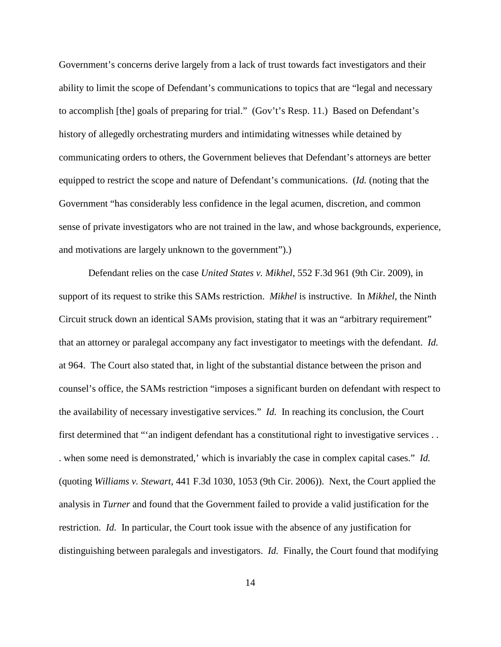Government's concerns derive largely from a lack of trust towards fact investigators and their ability to limit the scope of Defendant's communications to topics that are "legal and necessary to accomplish [the] goals of preparing for trial." (Gov't's Resp. 11.) Based on Defendant's history of allegedly orchestrating murders and intimidating witnesses while detained by communicating orders to others, the Government believes that Defendant's attorneys are better equipped to restrict the scope and nature of Defendant's communications. (*Id.* (noting that the Government "has considerably less confidence in the legal acumen, discretion, and common sense of private investigators who are not trained in the law, and whose backgrounds, experience, and motivations are largely unknown to the government").)

Defendant relies on the case *United States v. Mikhel*, 552 F.3d 961 (9th Cir. 2009), in support of its request to strike this SAMs restriction. *Mikhel* is instructive. In *Mikhel*, the Ninth Circuit struck down an identical SAMs provision, stating that it was an "arbitrary requirement" that an attorney or paralegal accompany any fact investigator to meetings with the defendant. *Id.* at 964. The Court also stated that, in light of the substantial distance between the prison and counsel's office, the SAMs restriction "imposes a significant burden on defendant with respect to the availability of necessary investigative services." *Id.* In reaching its conclusion, the Court first determined that "'an indigent defendant has a constitutional right to investigative services . . . when some need is demonstrated,' which is invariably the case in complex capital cases." *Id.* (quoting *Williams v. Stewart*, 441 F.3d 1030, 1053 (9th Cir. 2006)). Next, the Court applied the analysis in *Turner* and found that the Government failed to provide a valid justification for the restriction. *Id.* In particular, the Court took issue with the absence of any justification for distinguishing between paralegals and investigators. *Id.* Finally, the Court found that modifying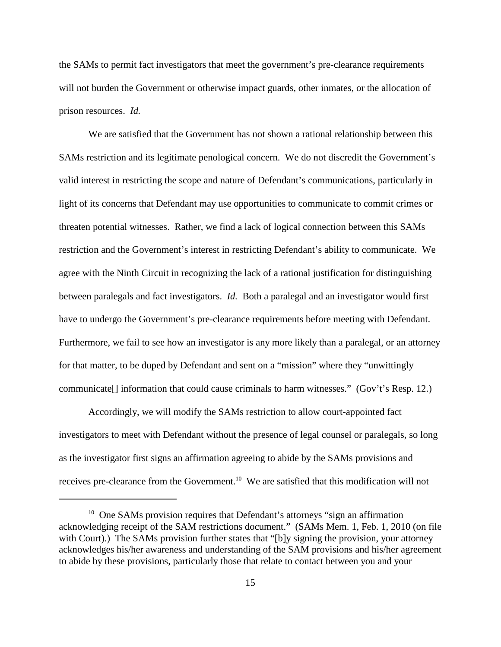the SAMs to permit fact investigators that meet the government's pre-clearance requirements will not burden the Government or otherwise impact guards, other inmates, or the allocation of prison resources. *Id.*

We are satisfied that the Government has not shown a rational relationship between this SAMs restriction and its legitimate penological concern. We do not discredit the Government's valid interest in restricting the scope and nature of Defendant's communications, particularly in light of its concerns that Defendant may use opportunities to communicate to commit crimes or threaten potential witnesses. Rather, we find a lack of logical connection between this SAMs restriction and the Government's interest in restricting Defendant's ability to communicate. We agree with the Ninth Circuit in recognizing the lack of a rational justification for distinguishing between paralegals and fact investigators. *Id.* Both a paralegal and an investigator would first have to undergo the Government's pre-clearance requirements before meeting with Defendant. Furthermore, we fail to see how an investigator is any more likely than a paralegal, or an attorney for that matter, to be duped by Defendant and sent on a "mission" where they "unwittingly communicate[] information that could cause criminals to harm witnesses." (Gov't's Resp. 12.)

Accordingly, we will modify the SAMs restriction to allow court-appointed fact investigators to meet with Defendant without the presence of legal counsel or paralegals, so long as the investigator first signs an affirmation agreeing to abide by the SAMs provisions and receives pre-clearance from the Government.<sup>10</sup> We are satisfied that this modification will not

<sup>&</sup>lt;sup>10</sup> One SAMs provision requires that Defendant's attorneys "sign an affirmation acknowledging receipt of the SAM restrictions document." (SAMs Mem. 1, Feb. 1, 2010 (on file with Court).) The SAMs provision further states that "[b]y signing the provision, your attorney acknowledges his/her awareness and understanding of the SAM provisions and his/her agreement to abide by these provisions, particularly those that relate to contact between you and your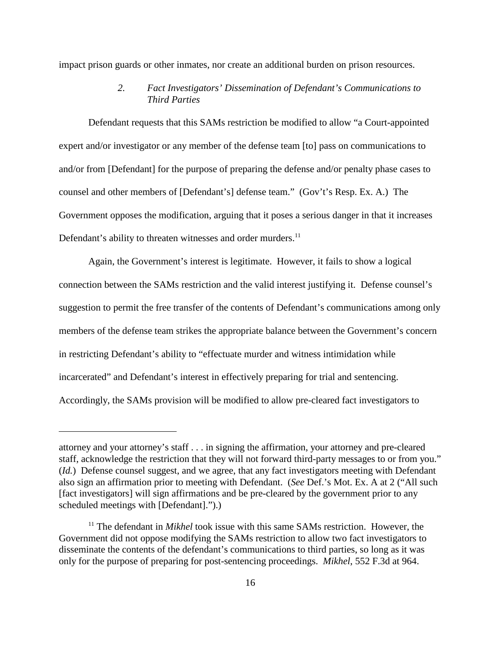impact prison guards or other inmates, nor create an additional burden on prison resources.

# *2. Fact Investigators' Dissemination of Defendant's Communications to Third Parties*

Defendant requests that this SAMs restriction be modified to allow "a Court-appointed expert and/or investigator or any member of the defense team [to] pass on communications to and/or from [Defendant] for the purpose of preparing the defense and/or penalty phase cases to counsel and other members of [Defendant's] defense team." (Gov't's Resp. Ex. A.) The Government opposes the modification, arguing that it poses a serious danger in that it increases Defendant's ability to threaten witnesses and order murders.<sup>11</sup>

Again, the Government's interest is legitimate. However, it fails to show a logical connection between the SAMs restriction and the valid interest justifying it. Defense counsel's suggestion to permit the free transfer of the contents of Defendant's communications among only members of the defense team strikes the appropriate balance between the Government's concern in restricting Defendant's ability to "effectuate murder and witness intimidation while incarcerated" and Defendant's interest in effectively preparing for trial and sentencing. Accordingly, the SAMs provision will be modified to allow pre-cleared fact investigators to

attorney and your attorney's staff . . . in signing the affirmation, your attorney and pre-cleared staff, acknowledge the restriction that they will not forward third-party messages to or from you." (*Id.*) Defense counsel suggest, and we agree, that any fact investigators meeting with Defendant also sign an affirmation prior to meeting with Defendant. (*See* Def.'s Mot. Ex. A at 2 ("All such [fact investigators] will sign affirmations and be pre-cleared by the government prior to any scheduled meetings with [Defendant].").)

<sup>&</sup>lt;sup>11</sup> The defendant in *Mikhel* took issue with this same SAMs restriction. However, the Government did not oppose modifying the SAMs restriction to allow two fact investigators to disseminate the contents of the defendant's communications to third parties, so long as it was only for the purpose of preparing for post-sentencing proceedings. *Mikhel*, 552 F.3d at 964.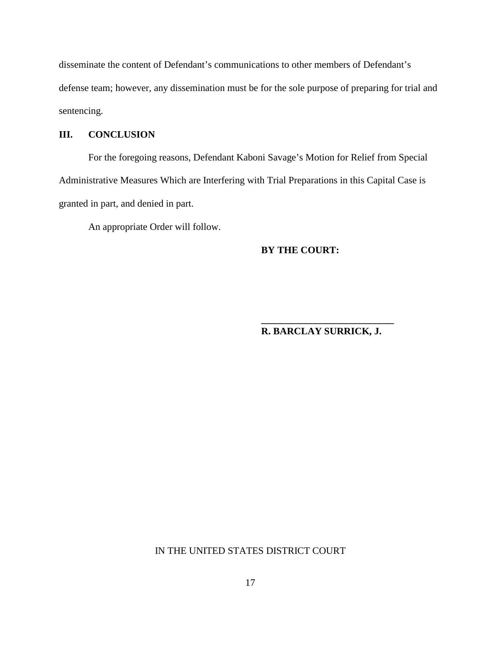disseminate the content of Defendant's communications to other members of Defendant's defense team; however, any dissemination must be for the sole purpose of preparing for trial and sentencing.

# **III. CONCLUSION**

For the foregoing reasons, Defendant Kaboni Savage's Motion for Relief from Special Administrative Measures Which are Interfering with Trial Preparations in this Capital Case is granted in part, and denied in part.

An appropriate Order will follow.

**BY THE COURT:**

# **R. BARCLAY SURRICK, J.**

**\_\_\_\_\_\_\_\_\_\_\_\_\_\_\_\_\_\_\_\_\_\_\_\_\_\_\_**

# IN THE UNITED STATES DISTRICT COURT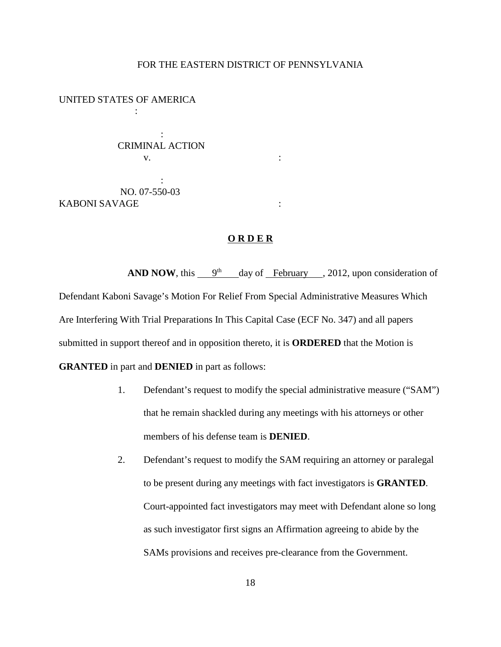### FOR THE EASTERN DISTRICT OF PENNSYLVANIA

UNITED STATES OF AMERICA

:

: CRIMINAL ACTION  $\mathbf{v}$ .  $\qquad \qquad$  :

: NO. 07-550-03 KABONI SAVAGE :

## **O R D E R**

**AND NOW**, this  $9<sup>th</sup>$  day of February , 2012, upon consideration of Defendant Kaboni Savage's Motion For Relief From Special Administrative Measures Which Are Interfering With Trial Preparations In This Capital Case (ECF No. 347) and all papers submitted in support thereof and in opposition thereto, it is **ORDERED** that the Motion is **GRANTED** in part and **DENIED** in part as follows:

- 1. Defendant's request to modify the special administrative measure ("SAM") that he remain shackled during any meetings with his attorneys or other members of his defense team is **DENIED**.
- 2. Defendant's request to modify the SAM requiring an attorney or paralegal to be present during any meetings with fact investigators is **GRANTED**. Court-appointed fact investigators may meet with Defendant alone so long as such investigator first signs an Affirmation agreeing to abide by the SAMs provisions and receives pre-clearance from the Government.